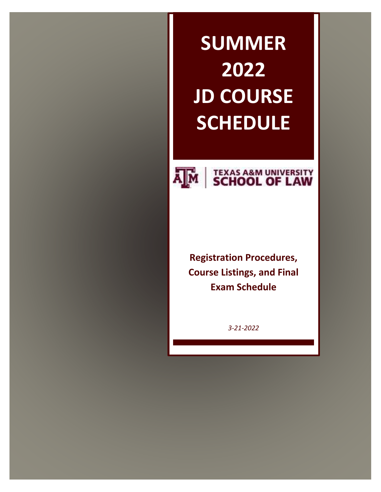# **SUMMER 2022 JD COURSE SCHEDULE**



# **AM SCHOOL OF LAW**

**Registration Procedures, Course Listings, and Final Exam Schedule**

*3-21-2022*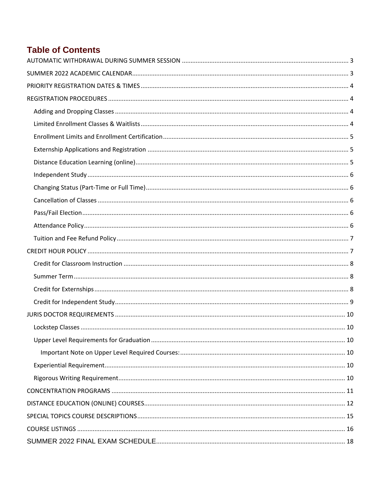# **Table of Contents**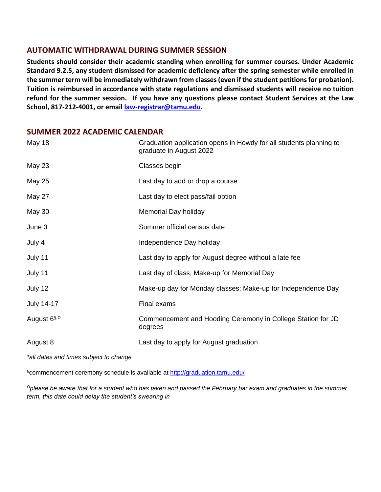#### <span id="page-2-0"></span>**AUTOMATIC WITHDRAWAL DURING SUMMER SESSION**

**Students should consider their academic standing when enrolling for summer courses. Under Academic Standard 9.2.5, any student dismissed for academic deficiency after the spring semester while enrolled in the summer term will be immediately withdrawn from classes (even if the student petitions for probation). Tuition is reimbursed in accordance with state regulations and dismissed students will receive no tuition refund for the summer session. If you have any questions please contact Student Services at the Law School, 817-212-4001, or emai[l law-registrar@tamu.edu](mailto:law-registrar@tamu.edu).**

#### <span id="page-2-1"></span>**SUMMER 2022 ACADEMIC CALENDAR**

| May 18                   | Graduation application opens in Howdy for all students planning to<br>graduate in August 2022 |
|--------------------------|-----------------------------------------------------------------------------------------------|
| May 23                   | Classes begin                                                                                 |
| <b>May 25</b>            | Last day to add or drop a course                                                              |
| May 27                   | Last day to elect pass/fail option                                                            |
| May 30                   | Memorial Day holiday                                                                          |
| June 3                   | Summer official census date                                                                   |
| July 4                   | Independence Day holiday                                                                      |
| July 11                  | Last day to apply for August degree without a late fee                                        |
| July 11                  | Last day of class; Make-up for Memorial Day                                                   |
| July 12                  | Make-up day for Monday classes; Make-up for Independence Day                                  |
| <b>July 14-17</b>        | Final exams                                                                                   |
| August 6 <sup>§, 0</sup> | Commencement and Hooding Ceremony in College Station for JD<br>degrees                        |
| August 8                 | Last day to apply for August graduation                                                       |

*\*all dates and times subject to change*

§commencement ceremony schedule is available at<http://graduation.tamu.edu/>

*<sup>Ω</sup>please be aware that for a student who has taken and passed the February bar exam and graduates in the summer term, this date could delay the student's swearing in*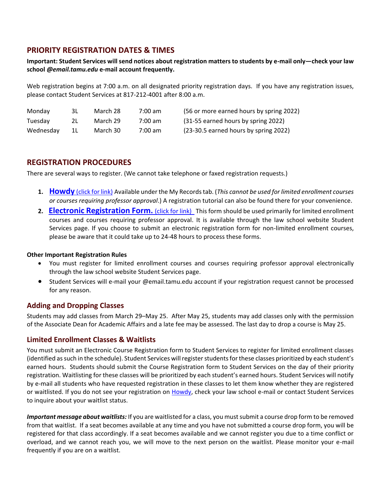# <span id="page-3-0"></span>**PRIORITY REGISTRATION DATES & TIMES**

#### **Important: Student Services will send notices about registration matters to students by e-mail only—check your law school** *@email.tamu.edu* **e-mail account frequently.**

Web registration begins at 7:00 a.m. on all designated priority registration days. If you have any registration issues, please contact Student Services at 817-212-4001 after 8:00 a.m.

| Monday    | 3L.   | March 28 | $7:00 \text{ am}$ | (56 or more earned hours by spring 2022) |
|-----------|-------|----------|-------------------|------------------------------------------|
| Tuesday   | 2L.   | March 29 | $7:00$ am         | (31-55 earned hours by spring 2022)      |
| Wednesdav | - 1 L | March 30 | 7:00 am           | (23-30.5 earned hours by spring 2022)    |

#### <span id="page-3-1"></span>**REGISTRATION PROCEDURES**

There are several ways to register. (We cannot take telephone or faxed registration requests.)

- **1. Howdy** [\(click for link\)](http://howdy.tamu.edu/) Available under the My Records tab. (*This cannot be used for limited enrollment courses or courses requiring professor approval*.) A registration tutorial can also be found there for your convenience.
- **2. [Electronic Registration Form.](http://law.tamu.edu/Resources/StudentResources/CourseRegistrationForm.aspx)** (click for link) This form should be used primarily for limited enrollment courses and courses requiring professor approval. It is available through the law school website Student Services page. If you choose to submit an electronic registration form for non-limited enrollment courses, please be aware that it could take up to 24-48 hours to process these forms.

#### **Other Important Registration Rules**

- You must register for limited enrollment courses and courses requiring professor approval electronically through the law school website Student Services page.
- Student Services will e-mail your @email.tamu.edu account if your registration request cannot be processed for any reason.

#### <span id="page-3-2"></span>**Adding and Dropping Classes**

Students may add classes from March 29–May 25. After May 25, students may add classes only with the permission of the Associate Dean for Academic Affairs and a late fee may be assessed. The last day to drop a course is May 25.

#### <span id="page-3-3"></span>**Limited Enrollment Classes & Waitlists**

You must submit an Electronic Course Registration form to Student Services to register for limited enrollment classes (identified as such in the schedule). Student Services will register students for these classes prioritized by each student's earned hours. Students should submit the Course Registration form to Student Services on the day of their priority registration. Waitlisting for these classes will be prioritized by each student's earned hours. Student Services will notify by e-mail all students who have requested registration in these classes to let them know whether they are registered or waitlisted. If you do not see your registration on [Howdy,](https://howdy.tamu.edu/) check your law school e-mail or contact Student Services to inquire about your waitlist status.

*Important message about waitlists:* If you are waitlisted for a class, you must submit a course drop form to be removed from that waitlist. If a seat becomes available at any time and you have not submitted a course drop form, you will be registered for that class accordingly. If a seat becomes available and we cannot register you due to a time conflict or overload, and we cannot reach you, we will move to the next person on the waitlist. Please monitor your e-mail frequently if you are on a waitlist.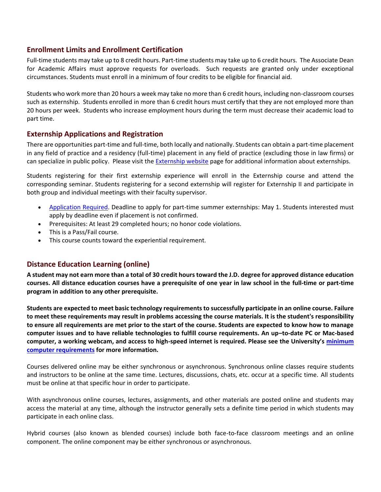#### <span id="page-4-0"></span>**Enrollment Limits and Enrollment Certification**

Full-time students may take up to 8 credit hours. Part-time students may take up to 6 credit hours. The Associate Dean for Academic Affairs must approve requests for overloads. Such requests are granted only under exceptional circumstances. Students must enroll in a minimum of four credits to be eligible for financial aid.

Students who work more than 20 hours a week may take no more than 6 credit hours, including non-classroom courses such as externship. Students enrolled in more than 6 credit hours must certify that they are not employed more than 20 hours per week. Students who increase employment hours during the term must decrease their academic load to part time.

#### <span id="page-4-1"></span>**Externship Applications and Registration**

There are opportunities part-time and full-time, both locally and nationally. Students can obtain a part-time placement in any field of practice and a residency (full-time) placement in any field of practice (excluding those in law firms) or can specialize in public policy. Please visit the [Externship website](https://law.tamu.edu/current-students/experiential-education/externship-programs2) page for additional information about externships.

Students registering for their first externship experience will enroll in the Externship course and attend the corresponding seminar. Students registering for a second externship will register for Externship II and participate in both group and individual meetings with their faculty supervisor.

- [Application Required.](https://law.tamu.edu/current-students/academics/centers-clinics-programs/externship-program/general-externship-program/application-process-apply/application) Deadline to apply for part-time summer externships: May 1. Students interested must apply by deadline even if placement is not confirmed.
- Prerequisites: At least 29 completed hours; no honor code violations.
- This is a Pass/Fail course.
- This course counts toward the experiential requirement.

#### <span id="page-4-2"></span>**Distance Education Learning (online)**

**A student may not earn more than a total of 30 credit hours toward the J.D. degree for approved distance education courses. All distance education courses have a prerequisite of one year in law school in the full-time or part-time program in addition to any other prerequisite.**

**Students are expected to meet basic technology requirements to successfully participate in an online course. Failure to meet these requirements may result in problems accessing the course materials. It is the student's responsibility to ensure all requirements are met prior to the start of the course. Students are expected to know how to manage computer issues and to have reliable technologies to fulfill course requirements. An up–to-date PC or Mac-based computer, a working webcam, and access to high-speed internet is required. Please see the University's [minimum](https://it.tamu.edu/services/academics-and-research/teaching-and-learning-tools/computer-requirements/)  computer [requirements](https://it.tamu.edu/services/academics-and-research/teaching-and-learning-tools/computer-requirements/) for more information.**

Courses delivered online may be either synchronous or asynchronous. Synchronous online classes require students and instructors to be online at the same time. Lectures, discussions, chats, etc. occur at a specific time. All students must be online at that specific hour in order to participate.

With asynchronous online courses, lectures, assignments, and other materials are posted online and students may access the material at any time, although the instructor generally sets a definite time period in which students may participate in each online class.

Hybrid courses (also known as blended courses) include both face-to-face classroom meetings and an online component. The online component may be either synchronous or asynchronous.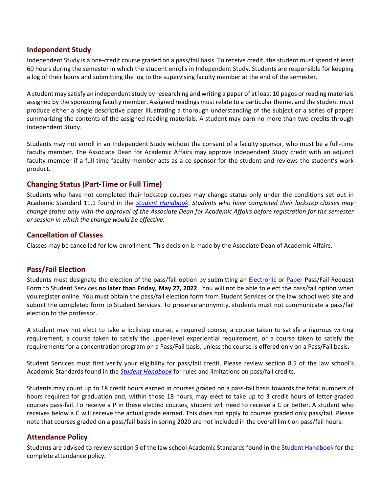#### <span id="page-5-0"></span>**Independent Study**

Independent Study is a one-credit course graded on a pass/fail basis. To receive credit, the student must spend at least 60 hours during the semester in which the student enrolls in Independent Study. Students are responsible for keeping a log of their hours and submitting the log to the supervising faculty member at the end of the semester.

A student may satisfy an independent study by researching and writing a paper of at least 10 pages or reading materials assigned by the sponsoring faculty member. Assigned readings must relate to a particular theme, and the student must produce either a single descriptive paper illustrating a thorough understanding of the subject or a series of papers summarizing the contents of the assigned reading materials. A student may earn no more than two credits through Independent Study.

Students may not enroll in an Independent Study without the consent of a faculty sponsor, who must be a full-time faculty member. The Associate Dean for Academic Affairs may approve Independent Study credit with an adjunct faculty member if a full-time faculty member acts as a co-sponsor for the student and reviews the student's work product.

#### <span id="page-5-1"></span>**Changing Status (Part-Time or Full Time)**

Students who have not completed their lockstep courses may change status only under the conditions set out in Academic Standard 11.1 found in the *[Student Handbook](http://law.tamu.edu/docs/default-source/current-students/Student-Handbook-15-16-8feb16.pdf?sfvrsn=2)*. *Students who have completed their lockstep classes may change status only with the approval of the Associate Dean for Academic Affairs before registration for the semester or session in which the change would be effective.*

#### <span id="page-5-2"></span>**Cancellation of Classes**

Classes may be cancelled for low enrollment. This decision is made by the Associate Dean of Academic Affairs.

#### <span id="page-5-3"></span>**Pass/Fail Election**

Students must designate the election of the pass/fail option by submitting an [Electronic](http://law.tamu.edu/Resources/StudentResources/Pass-FailRequest.aspx) or [Paper](http://law.tamu.edu/docs/default-source/registrar-documents/pass-fail-form_fillable.pdf?sfvrsn=6) Pass/Fail Request Form to Student Services **no later than Friday, May 27, 2022**. You will not be able to elect the pass/fail option when you register online. You must obtain the pass/fail election form from Student Services or the law school web site and submit the completed form to Student Services. To preserve anonymity, students must not communicate a pass/fail election to the professor.

A student may not elect to take a lockstep course, a required course, a course taken to satisfy a rigorous writing requirement, a course taken to satisfy the upper-level experiential requirement, or a course taken to satisfy the requirements for a concentration program on a Pass/Fail basis, unless the course is offered only on a Pass/Fail basis.

Student Services must first verify your eligibility for pass/fail credit. Please review section 8.5 of the law school's Academic Standards found in the *[Student Handbook](http://law.tamu.edu/docs/default-source/current-students/Student-Handbook-15-16-8feb16.pdf?sfvrsn=2)* for rules and limitations on pass/fail credits.

Students may count up to 18 credit hours earned in courses graded on a pass-fail basis towards the total numbers of hours required for graduation and, within those 18 hours, may elect to take up to 3 credit hours of letter-graded courses pass-fail. To receive a P in these elected courses, student will need to receive a C or better. A student who receives below a C will receive the actual grade earned. This does not apply to courses graded only pass/fail. Please note that courses graded on a pass/fail basis in spring 2020 are not included in the overall limit on pass/fail hours.

#### <span id="page-5-4"></span>**Attendance Policy**

Students are advised to review section 5 of the law school Academic Standards found in th[e Student Handbook](http://law.tamu.edu/docs/default-source/current-students/Student-Handbook-2020-2021-8-14-20.pdf?sfvrsn=2) for the complete attendance policy.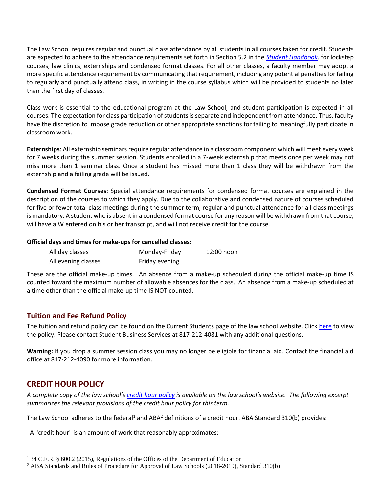The Law School requires regular and punctual class attendance by all students in all courses taken for credit. Students are expected to adhere to the attendance requirements set forth in Section 5.2 in the *[Student Handbook](http://law.tamu.edu/docs/default-source/current-students/Student-Handbook-15-16-8feb16.pdf?sfvrsn=2)*. for lockstep courses, law clinics, externships and condensed format classes. For all other classes, a faculty member may adopt a more specific attendance requirement by communicating that requirement, including any potential penalties for failing to regularly and punctually attend class, in writing in the course syllabus which will be provided to students no later than the first day of classes.

Class work is essential to the educational program at the Law School, and student participation is expected in all courses. The expectation for class participation of students is separate and independent from attendance. Thus, faculty have the discretion to impose grade reduction or other appropriate sanctions for failing to meaningfully participate in classroom work.

**Externships**: All externship seminars require regular attendance in a classroom component which will meet every week for 7 weeks during the summer session. Students enrolled in a 7-week externship that meets once per week may not miss more than 1 seminar class. Once a student has missed more than 1 class they will be withdrawn from the externship and a failing grade will be issued.

**Condensed Format Courses**: Special attendance requirements for condensed format courses are explained in the description of the courses to which they apply. Due to the collaborative and condensed nature of courses scheduled for five or fewer total class meetings during the summer term, regular and punctual attendance for all class meetings is mandatory. A student who is absent in a condensed format course for any reason will be withdrawn from that course, will have a W entered on his or her transcript, and will not receive credit for the course.

#### **Official days and times for make-ups for cancelled classes:**

| All day classes     | Monday-Friday  | 12:00 noon |
|---------------------|----------------|------------|
| All evening classes | Friday evening |            |

These are the official make-up times. An absence from a make-up scheduled during the official make-up time IS counted toward the maximum number of allowable absences for the class. An absence from a make-up scheduled at a time other than the official make-up time IS NOT counted.

#### <span id="page-6-0"></span>**Tuition and Fee Refund Policy**

The tuition and refund policy can be found on the Current Students page of the law school website. Click [here](http://law.tamu.edu/current-students/financial-aid/tuition) to view the policy. Please contact Student Business Services at 817-212-4081 with any additional questions.

**Warning:** If you drop a summer session class you may no longer be eligible for financial aid. Contact the financial aid office at 817-212-4090 for more information.

# <span id="page-6-1"></span>**CREDIT HOUR POLICY**

 $\overline{\phantom{a}}$ 

*A complete copy of the law school's [credit hour policy](http://law.tamu.edu/docs/default-source/registrar-documents/credit-hour-policy-revised-jan2019.pdf) is available on the law school's website. The following excerpt summarizes the relevant provisions of the credit hour policy for this term.*

The Law School adheres to the federal<sup>1</sup> and ABA<sup>2</sup> definitions of a credit hour. ABA Standard 310(b) provides:

A "credit hour" is an amount of work that reasonably approximates:

<sup>1</sup> 34 C.F.R. § 600.2 (2015), Regulations of the Offices of the Department of Education

<sup>2</sup> ABA Standards and Rules of Procedure for Approval of Law Schools (2018-2019), Standard 310(b)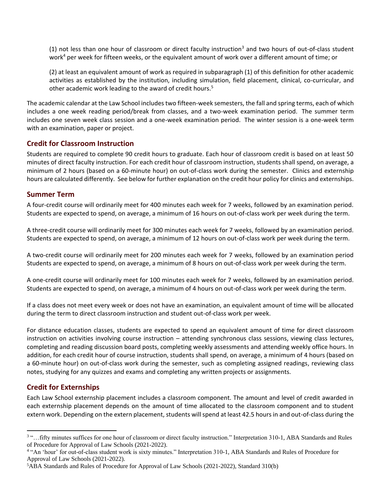(1) not less than one hour of classroom or direct faculty instruction<sup>3</sup> and two hours of out-of-class student work $4$  per week for fifteen weeks, or the equivalent amount of work over a different amount of time; or

(2) at least an equivalent amount of work as required in subparagraph (1) of this definition for other academic activities as established by the institution, including simulation, field placement, clinical, co-curricular, and other academic work leading to the award of credit hours.<sup>5</sup>

The academic calendar at the Law School includes two fifteen-week semesters, the fall and spring terms, each of which includes a one week reading period/break from classes, and a two-week examination period. The summer term includes one seven week class session and a one-week examination period. The winter session is a one-week term with an examination, paper or project.

#### <span id="page-7-0"></span>**Credit for Classroom Instruction**

Students are required to complete 90 credit hours to graduate. Each hour of classroom credit is based on at least 50 minutes of direct faculty instruction. For each credit hour of classroom instruction, students shall spend, on average, a minimum of 2 hours (based on a 60-minute hour) on out-of-class work during the semester. Clinics and externship hours are calculated differently. See below for further explanation on the credit hour policy for clinics and externships.

#### <span id="page-7-1"></span>**Summer Term**

A four-credit course will ordinarily meet for 400 minutes each week for 7 weeks, followed by an examination period. Students are expected to spend, on average, a minimum of 16 hours on out-of-class work per week during the term.

A three-credit course will ordinarily meet for 300 minutes each week for 7 weeks, followed by an examination period. Students are expected to spend, on average, a minimum of 12 hours on out-of-class work per week during the term.

A two-credit course will ordinarily meet for 200 minutes each week for 7 weeks, followed by an examination period Students are expected to spend, on average, a minimum of 8 hours on out-of-class work per week during the term.

A one-credit course will ordinarily meet for 100 minutes each week for 7 weeks, followed by an examination period. Students are expected to spend, on average, a minimum of 4 hours on out-of-class work per week during the term.

If a class does not meet every week or does not have an examination, an equivalent amount of time will be allocated during the term to direct classroom instruction and student out-of-class work per week.

For distance education classes, students are expected to spend an equivalent amount of time for direct classroom instruction on activities involving course instruction – attending synchronous class sessions, viewing class lectures, completing and reading discussion board posts, completing weekly assessments and attending weekly office hours. In addition, for each credit hour of course instruction, students shall spend, on average, a minimum of 4 hours (based on a 60-minute hour) on out-of-class work during the semester, such as completing assigned readings, reviewing class notes, studying for any quizzes and exams and completing any written projects or assignments.

#### <span id="page-7-2"></span>**Credit for Externships**

 $\overline{\phantom{a}}$ 

Each Law School externship placement includes a classroom component. The amount and level of credit awarded in each externship placement depends on the amount of time allocated to the classroom component and to student extern work. Depending on the extern placement, students will spend at least 42.5 hours in and out-of-class during the

<sup>&</sup>lt;sup>3</sup> "... fifty minutes suffices for one hour of classroom or direct faculty instruction." Interpretation 310-1, ABA Standards and Rules of Procedure for Approval of Law Schools (2021-2022).

<sup>&</sup>lt;sup>4</sup> "An 'hour' for out-of-class student work is sixty minutes." Interpretation 310-1, ABA Standards and Rules of Procedure for Approval of Law Schools (2021-2022).

<sup>5</sup>ABA Standards and Rules of Procedure for Approval of Law Schools (2021-2022), Standard 310(b)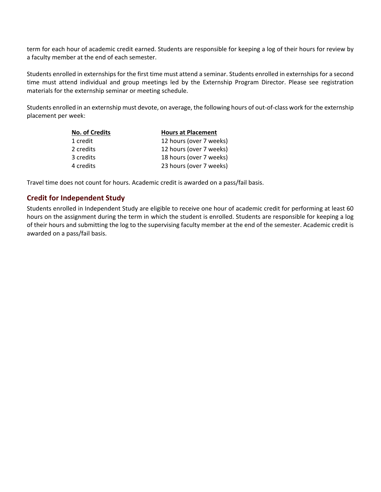term for each hour of academic credit earned. Students are responsible for keeping a log of their hours for review by a faculty member at the end of each semester.

Students enrolled in externships for the first time must attend a seminar. Students enrolled in externships for a second time must attend individual and group meetings led by the Externship Program Director. Please see registration materials for the externship seminar or meeting schedule.

Students enrolled in an externship must devote, on average, the following hours of out-of-class work for the externship placement per week:

| <b>No. of Credits</b> | <b>Hours at Placement</b> |
|-----------------------|---------------------------|
| 1 credit              | 12 hours (over 7 weeks)   |
| 2 credits             | 12 hours (over 7 weeks)   |
| 3 credits             | 18 hours (over 7 weeks)   |
| 4 credits             | 23 hours (over 7 weeks)   |

<span id="page-8-0"></span>Travel time does not count for hours. Academic credit is awarded on a pass/fail basis.

#### **Credit for Independent Study**

Students enrolled in Independent Study are eligible to receive one hour of academic credit for performing at least 60 hours on the assignment during the term in which the student is enrolled. Students are responsible for keeping a log of their hours and submitting the log to the supervising faculty member at the end of the semester. Academic credit is awarded on a pass/fail basis.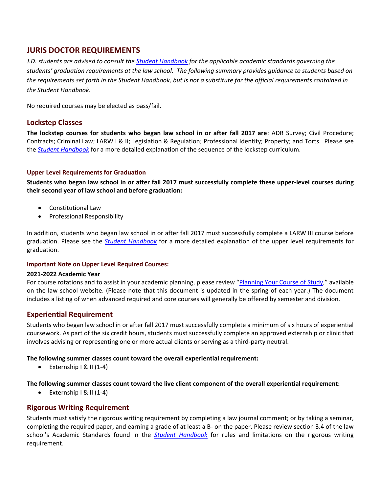# <span id="page-9-0"></span>**JURIS DOCTOR REQUIREMENTS**

*J.D. students are advised to consult the [Student Handbook](http://law.tamu.edu/docs/default-source/current-students/Student-Handbook-2016-17.pdf?sfvrsn=2) for the applicable academic standards governing the students' graduation requirements at the law school. The following summary provides guidance to students based on the requirements set forth in the Student Handbook, but is not a substitute for the official requirements contained in the Student Handbook.*

No required courses may be elected as pass/fail.

#### <span id="page-9-1"></span>**Lockstep Classes**

**The lockstep courses for students who began law school in or after fall 2017 are**: ADR Survey; Civil Procedure; Contracts; Criminal Law; LARW I & II; Legislation & Regulation; Professional Identity; Property; and Torts. Please see the *[Student Handbook](http://law.tamu.edu/docs/default-source/current-students/Student-Handbook-2017-18-8nov17.pdf)* for a more detailed explanation of the sequence of the lockstep curriculum.

#### <span id="page-9-2"></span>**Upper Level Requirements for Graduation**

**Students who began law school in or after fall 2017 must successfully complete these upper-level courses during their second year of law school and before graduation:**

- Constitutional Law
- **•** Professional Responsibility

In addition, students who began law school in or after fall 2017 must successfully complete a LARW III course before graduation. Please see the *[Student Handbook](http://law.tamu.edu/docs/default-source/current-students/Student-Handbook-2017-18-8nov17.pdf)* for a more detailed explanation of the upper level requirements for graduation.

#### <span id="page-9-3"></span>**Important Note on Upper Level Required Courses:**

#### **2021-2022 Academic Year**

For course rotations and to assist in your academic planning, please review "[Planning Your Course of Study](http://law.tamu.edu/current-students/academics/planning-your-course-of-study)," available on the law school website. (Please note that this document is updated in the spring of each year.) The document includes a listing of when advanced required and core courses will generally be offered by semester and division.

#### <span id="page-9-4"></span>**Experiential Requirement**

Students who began law school in or after fall 2017 must successfully complete a minimum of six hours of experiential coursework. As part of the six credit hours, students must successfully complete an approved externship or clinic that involves advising or representing one or more actual clients or serving as a third-party neutral.

#### **The following summer classes count toward the overall experiential requirement:**

 $\bullet$  Externship I & II (1-4)

#### **The following summer classes count toward the live client component of the overall experiential requirement:**

 $\bullet$  Externship I & II (1-4)

#### <span id="page-9-5"></span>**Rigorous Writing Requirement**

Students must satisfy the rigorous writing requirement by completing a law journal comment; or by taking a seminar, completing the required paper, and earning a grade of at least a B- on the paper. Please review section 3.4 of the law school's Academic Standards found in the *[Student Handbook](http://law.tamu.edu/docs/default-source/current-students/Student-Handbook-15-16-8feb16.pdf?sfvrsn=2)* for rules and limitations on the rigorous writing requirement.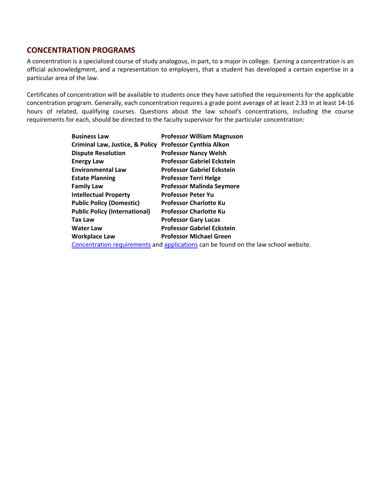### <span id="page-10-0"></span>**CONCENTRATION PROGRAMS**

A concentration is a specialized course of study analogous, in part, to a major in college. Earning a concentration is an official acknowledgment, and a representation to employers, that a student has developed a certain expertise in a particular area of the law.

Certificates of concentration will be available to students once they have satisfied the requirements for the applicable concentration program. Generally, each concentration requires a grade point average of at least 2.33 in at least 14-16 hours of related, qualifying courses. Questions about the law school's concentrations, including the course requirements for each, should be directed to the faculty supervisor for the particular concentration:

| <b>Business Law</b>                                                                 | <b>Professor William Magnuson</b> |  |
|-------------------------------------------------------------------------------------|-----------------------------------|--|
| <b>Criminal Law, Justice, &amp; Policy</b>                                          | <b>Professor Cynthia Alkon</b>    |  |
| <b>Dispute Resolution</b>                                                           | <b>Professor Nancy Welsh</b>      |  |
| <b>Energy Law</b>                                                                   | <b>Professor Gabriel Eckstein</b> |  |
| <b>Environmental Law</b>                                                            | <b>Professor Gabriel Eckstein</b> |  |
| <b>Estate Planning</b>                                                              | <b>Professor Terri Helge</b>      |  |
| <b>Family Law</b>                                                                   | <b>Professor Malinda Seymore</b>  |  |
| <b>Intellectual Property</b>                                                        | <b>Professor Peter Yu</b>         |  |
| <b>Public Policy (Domestic)</b>                                                     | <b>Professor Charlotte Ku</b>     |  |
| <b>Public Policy (International)</b>                                                | <b>Professor Charlotte Ku</b>     |  |
| <b>Tax Law</b>                                                                      | <b>Professor Gary Lucas</b>       |  |
| <b>Water Law</b>                                                                    | <b>Professor Gabriel Eckstein</b> |  |
| <b>Workplace Law</b>                                                                | <b>Professor Michael Green</b>    |  |
| Concentration requirements and applications can be found on the law school website. |                                   |  |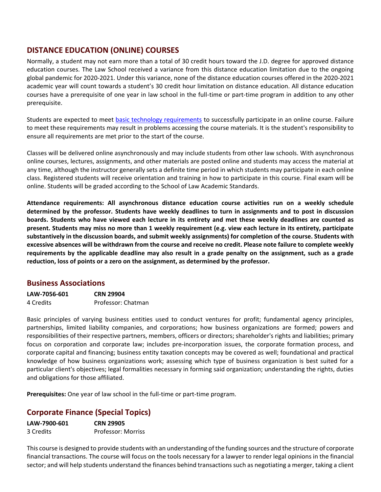# <span id="page-11-0"></span>**DISTANCE EDUCATION (ONLINE) COURSES**

Normally, a student may not earn more than a total of 30 credit hours toward the J.D. degree for approved distance education courses. The Law School received a variance from this distance education limitation due to the ongoing global pandemic for 2020-2021. Under this variance, none of the distance education courses offered in the 2020-2021 academic year will count towards a student's 30 credit hour limitation on distance education. All distance education courses have a prerequisite of one year in law school in the full-time or part-time program in addition to any other prerequisite.

Students are expected to meet [basic technology requirements](https://it.tamu.edu/services/academics-and-research/teaching-and-learning-tools/computer-requirements/) to successfully participate in an online course. Failure to meet these requirements may result in problems accessing the course materials. It is the student's responsibility to ensure all requirements are met prior to the start of the course.

Classes will be delivered online asynchronously and may include students from other law schools. With asynchronous online courses, lectures, assignments, and other materials are posted online and students may access the material at any time, although the instructor generally sets a definite time period in which students may participate in each online class. Registered students will receive orientation and training in how to participate in this course. Final exam will be online. Students will be graded according to the School of Law Academic Standards.

**Attendance requirements: All asynchronous distance education course activities run on a weekly schedule determined by the professor. Students have weekly deadlines to turn in assignments and to post in discussion boards. Students who have viewed each lecture in its entirety and met these weekly deadlines are counted as present. Students may miss no more than 1 weekly requirement (e.g. view each lecture in its entirety, participate substantively in the discussion boards, and submit weekly assignments) for completion of the course. Students with excessive absences will be withdrawn from the course and receive no credit. Please note failure to complete weekly requirements by the applicable deadline may also result in a grade penalty on the assignment, such as a grade reduction, loss of points or a zero on the assignment, as determined by the professor.**

#### **Business Associations**

| LAW-7056-601 | <b>CRN 29904</b>   |
|--------------|--------------------|
| 4 Credits    | Professor: Chatman |

Basic principles of varying business entities used to conduct ventures for profit; fundamental agency principles, partnerships, limited liability companies, and corporations; how business organizations are formed; powers and responsibilities of their respective partners, members, officers or directors; shareholder's rights and liabilities; primary focus on corporation and corporate law; includes pre-incorporation issues, the corporate formation process, and corporate capital and financing; business entity taxation concepts may be covered as well; foundational and practical knowledge of how business organizations work; assessing which type of business organization is best suited for a particular client's objectives; legal formalities necessary in forming said organization; understanding the rights, duties and obligations for those affiliated.

**Prerequisites:** One year of law school in the full-time or part-time program.

# **Corporate Finance (Special Topics)**

| LAW-7900-601 | <b>CRN 29905</b>   |
|--------------|--------------------|
| 3 Credits    | Professor: Morriss |

This course is designed to provide students with an understanding of the funding sources and the structure of corporate financial transactions. The course will focus on the tools necessary for a lawyer to render legal opinions in the financial sector; and will help students understand the finances behind transactions such as negotiating a merger, taking a client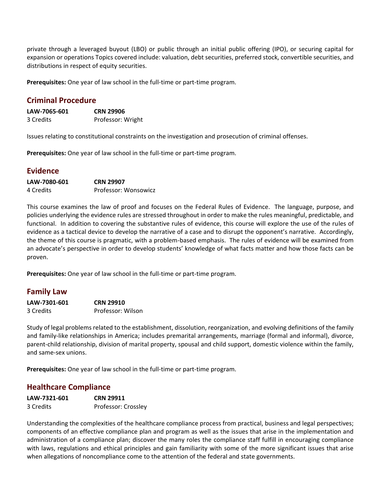private through a leveraged buyout (LBO) or public through an initial public offering (IPO), or securing capital for expansion or operations Topics covered include: valuation, debt securities, preferred stock, convertible securities, and distributions in respect of equity securities.

**Prerequisites:** One year of law school in the full-time or part-time program.

### **Criminal Procedure**

| LAW-7065-601 | <b>CRN 29906</b>  |
|--------------|-------------------|
| 3 Credits    | Professor: Wright |

Issues relating to constitutional constraints on the investigation and prosecution of criminal offenses.

**Prerequisites:** One year of law school in the full-time or part-time program.

#### **Evidence**

| LAW-7080-601 | <b>CRN 29907</b>     |
|--------------|----------------------|
| 4 Credits    | Professor: Wonsowicz |

This course examines the law of proof and focuses on the Federal Rules of Evidence. The language, purpose, and policies underlying the evidence rules are stressed throughout in order to make the rules meaningful, predictable, and functional. In addition to covering the substantive rules of evidence, this course will explore the use of the rules of evidence as a tactical device to develop the narrative of a case and to disrupt the opponent's narrative. Accordingly, the theme of this course is pragmatic, with a problem-based emphasis. The rules of evidence will be examined from an advocate's perspective in order to develop students' knowledge of what facts matter and how those facts can be proven.

**Prerequisites:** One year of law school in the full-time or part-time program.

#### **Family Law**

| LAW-7301-601 | <b>CRN 29910</b>  |
|--------------|-------------------|
| 3 Credits    | Professor: Wilson |

Study of legal problems related to the establishment, dissolution, reorganization, and evolving definitions of the family and family-like relationships in America; includes premarital arrangements, marriage (formal and informal), divorce, parent-child relationship, division of marital property, spousal and child support, domestic violence within the family, and same-sex unions.

**Prerequisites:** One year of law school in the full-time or part-time program.

#### **Healthcare Compliance**

| LAW-7321-601 | <b>CRN 29911</b>    |
|--------------|---------------------|
| 3 Credits    | Professor: Crossley |

Understanding the complexities of the healthcare compliance process from practical, business and legal perspectives; components of an effective compliance plan and program as well as the issues that arise in the implementation and administration of a compliance plan; discover the many roles the compliance staff fulfill in encouraging compliance with laws, regulations and ethical principles and gain familiarity with some of the more significant issues that arise when allegations of noncompliance come to the attention of the federal and state governments.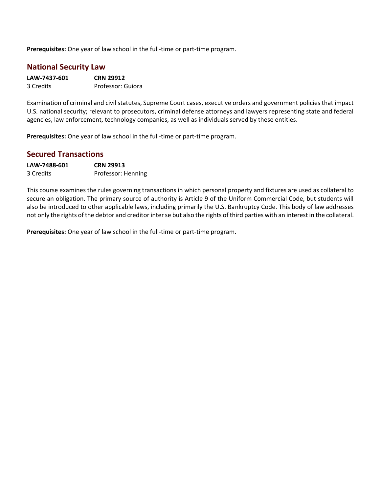**Prerequisites:** One year of law school in the full-time or part-time program.

#### **National Security Law**

| LAW-7437-601 | <b>CRN 29912</b>  |  |  |  |
|--------------|-------------------|--|--|--|
| 3 Credits    | Professor: Guiora |  |  |  |

Examination of criminal and civil statutes, Supreme Court cases, executive orders and government policies that impact U.S. national security; relevant to prosecutors, criminal defense attorneys and lawyers representing state and federal agencies, law enforcement, technology companies, as well as individuals served by these entities.

**Prerequisites:** One year of law school in the full-time or part-time program.

#### **Secured Transactions**

| LAW-7488-601 | <b>CRN 29913</b>   |  |  |  |
|--------------|--------------------|--|--|--|
| 3 Credits    | Professor: Henning |  |  |  |

This course examines the rules governing transactions in which personal property and fixtures are used as collateral to secure an obligation. The primary source of authority is Article 9 of the Uniform Commercial Code, but students will also be introduced to other applicable laws, including primarily the U.S. Bankruptcy Code. This body of law addresses not only the rights of the debtor and creditor inter se but also the rights of third parties with an interest in the collateral.

**Prerequisites:** One year of law school in the full-time or part-time program.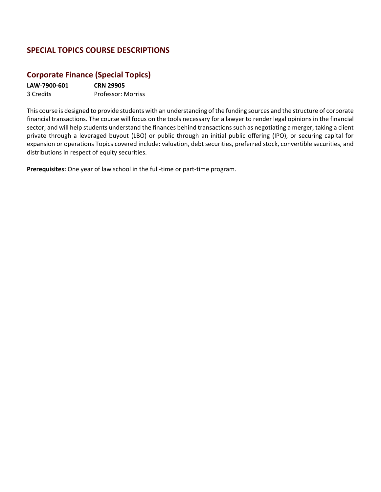# <span id="page-14-0"></span>**SPECIAL TOPICS COURSE DESCRIPTIONS**

# **Corporate Finance (Special Topics)**

**LAW-7900-601 CRN 29905** 3 Credits Professor: Morriss

This course is designed to provide students with an understanding of the funding sources and the structure of corporate financial transactions. The course will focus on the tools necessary for a lawyer to render legal opinions in the financial sector; and will help students understand the finances behind transactions such as negotiating a merger, taking a client private through a leveraged buyout (LBO) or public through an initial public offering (IPO), or securing capital for expansion or operations Topics covered include: valuation, debt securities, preferred stock, convertible securities, and distributions in respect of equity securities.

**Prerequisites:** One year of law school in the full-time or part-time program.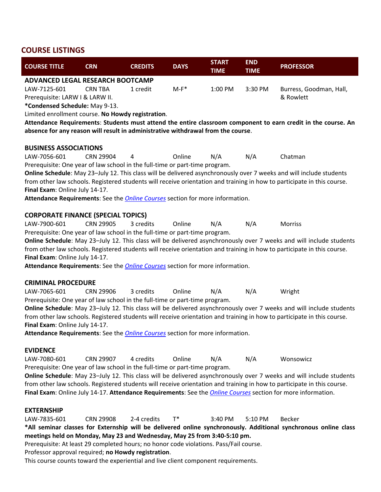#### <span id="page-15-0"></span>**COURSE LISTINGS**

| <b>COURSE TITLE</b>                                                                                                     | <b>CRN</b>                                                                                                    | <b>CREDITS</b> | <b>DAYS</b> | <b>START</b><br><b>TIME</b> | <b>END</b><br><b>TIME</b> | <b>PROFESSOR</b>                                                                                                        |  |  |
|-------------------------------------------------------------------------------------------------------------------------|---------------------------------------------------------------------------------------------------------------|----------------|-------------|-----------------------------|---------------------------|-------------------------------------------------------------------------------------------------------------------------|--|--|
| <b>ADVANCED LEGAL RESEARCH BOOTCAMP</b>                                                                                 |                                                                                                               |                |             |                             |                           |                                                                                                                         |  |  |
| LAW-7125-601                                                                                                            | <b>CRN TBA</b>                                                                                                | 1 credit       | $M-F^*$     | 1:00 PM                     | 3:30 PM                   | Burress, Goodman, Hall,                                                                                                 |  |  |
| Prerequisite: LARW I & LARW II.                                                                                         |                                                                                                               |                |             |                             |                           | & Rowlett                                                                                                               |  |  |
| *Condensed Schedule: May 9-13.                                                                                          |                                                                                                               |                |             |                             |                           |                                                                                                                         |  |  |
| Limited enrollment course. No Howdy registration.                                                                       |                                                                                                               |                |             |                             |                           |                                                                                                                         |  |  |
|                                                                                                                         | Attendance Requirements: Students must attend the entire classroom component to earn credit in the course. An |                |             |                             |                           |                                                                                                                         |  |  |
| absence for any reason will result in administrative withdrawal from the course.                                        |                                                                                                               |                |             |                             |                           |                                                                                                                         |  |  |
| <b>BUSINESS ASSOCIATIONS</b>                                                                                            |                                                                                                               |                |             |                             |                           |                                                                                                                         |  |  |
| LAW-7056-601                                                                                                            | <b>CRN 29904</b>                                                                                              | $\overline{4}$ | Online      | N/A                         | N/A                       | Chatman                                                                                                                 |  |  |
| Prerequisite: One year of law school in the full-time or part-time program.                                             |                                                                                                               |                |             |                             |                           |                                                                                                                         |  |  |
|                                                                                                                         |                                                                                                               |                |             |                             |                           | Online Schedule: May 23-July 12. This class will be delivered asynchronously over 7 weeks and will include students     |  |  |
|                                                                                                                         |                                                                                                               |                |             |                             |                           | from other law schools. Registered students will receive orientation and training in how to participate in this course. |  |  |
| Final Exam: Online July 14-17.                                                                                          |                                                                                                               |                |             |                             |                           |                                                                                                                         |  |  |
| Attendance Requirements: See the <b>Online Courses</b> section for more information.                                    |                                                                                                               |                |             |                             |                           |                                                                                                                         |  |  |
|                                                                                                                         |                                                                                                               |                |             |                             |                           |                                                                                                                         |  |  |
| <b>CORPORATE FINANCE (SPECIAL TOPICS)</b>                                                                               |                                                                                                               |                |             |                             |                           |                                                                                                                         |  |  |
| LAW-7900-601                                                                                                            | <b>CRN 29905</b>                                                                                              | 3 credits      | Online      | N/A                         | N/A                       | Morriss                                                                                                                 |  |  |
| Prerequisite: One year of law school in the full-time or part-time program.                                             |                                                                                                               |                |             |                             |                           |                                                                                                                         |  |  |
|                                                                                                                         |                                                                                                               |                |             |                             |                           | Online Schedule: May 23-July 12. This class will be delivered asynchronously over 7 weeks and will include students     |  |  |
|                                                                                                                         |                                                                                                               |                |             |                             |                           | from other law schools. Registered students will receive orientation and training in how to participate in this course. |  |  |
| Final Exam: Online July 14-17.                                                                                          |                                                                                                               |                |             |                             |                           |                                                                                                                         |  |  |
| Attendance Requirements: See the <b>Online Courses</b> section for more information.                                    |                                                                                                               |                |             |                             |                           |                                                                                                                         |  |  |
|                                                                                                                         |                                                                                                               |                |             |                             |                           |                                                                                                                         |  |  |
| <b>CRIMINAL PROCEDURE</b>                                                                                               |                                                                                                               |                |             |                             |                           |                                                                                                                         |  |  |
| LAW-7065-601                                                                                                            | <b>CRN 29906</b>                                                                                              | 3 credits      | Online      | N/A                         | N/A                       | Wright                                                                                                                  |  |  |
| Prerequisite: One year of law school in the full-time or part-time program.                                             |                                                                                                               |                |             |                             |                           |                                                                                                                         |  |  |
|                                                                                                                         |                                                                                                               |                |             |                             |                           | Online Schedule: May 23-July 12. This class will be delivered asynchronously over 7 weeks and will include students     |  |  |
|                                                                                                                         |                                                                                                               |                |             |                             |                           | from other law schools. Registered students will receive orientation and training in how to participate in this course. |  |  |
| Final Exam: Online July 14-17.                                                                                          |                                                                                                               |                |             |                             |                           |                                                                                                                         |  |  |
| Attendance Requirements: See the <i>Online Courses</i> section for more information.                                    |                                                                                                               |                |             |                             |                           |                                                                                                                         |  |  |
|                                                                                                                         |                                                                                                               |                |             |                             |                           |                                                                                                                         |  |  |
| <b>EVIDENCE</b>                                                                                                         |                                                                                                               |                |             |                             |                           |                                                                                                                         |  |  |
| LAW-7080-601                                                                                                            | <b>CRN 29907</b>                                                                                              | 4 credits      | Online      | N/A                         | N/A                       | Wonsowicz                                                                                                               |  |  |
| Prerequisite: One year of law school in the full-time or part-time program.                                             |                                                                                                               |                |             |                             |                           |                                                                                                                         |  |  |
| Online Schedule: May 23-July 12. This class will be delivered asynchronously over 7 weeks and will include students     |                                                                                                               |                |             |                             |                           |                                                                                                                         |  |  |
| from other law schools. Registered students will receive orientation and training in how to participate in this course. |                                                                                                               |                |             |                             |                           |                                                                                                                         |  |  |
| Final Exam: Online July 14-17. Attendance Requirements: See the <i>Online Courses</i> section for more information.     |                                                                                                               |                |             |                             |                           |                                                                                                                         |  |  |
|                                                                                                                         |                                                                                                               |                |             |                             |                           |                                                                                                                         |  |  |
| <b>EXTERNSHIP</b>                                                                                                       |                                                                                                               |                |             |                             |                           |                                                                                                                         |  |  |
| LAW-7835-601                                                                                                            | <b>CRN 29908</b>                                                                                              | 2-4 credits    | $T^*$       | 3:40 PM                     | 5:10 PM                   | Becker                                                                                                                  |  |  |
|                                                                                                                         |                                                                                                               |                |             |                             |                           | *All seminar classes for Externship will be delivered online synchronously. Additional synchronous online class         |  |  |

**meetings held on Monday, May 23 and Wednesday, May 25 from 3:40-5:10 pm.** 

Prerequisite: At least 29 completed hours; no honor code violations. Pass/Fail course.

Professor approval required; **no Howdy registration**.

This course counts toward the experiential and live client component requirements.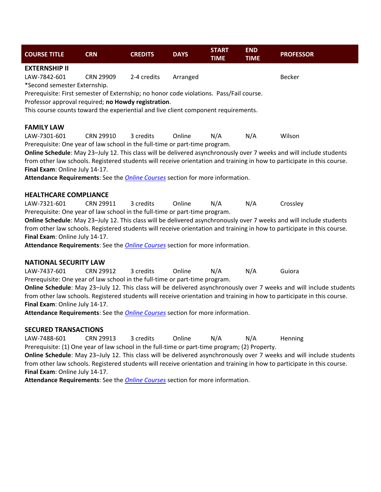| <b>COURSE TITLE</b>                                                                                                                            | <b>CRN</b>       | <b>CREDITS</b> | <b>DAYS</b> | <b>START</b><br><b>TIME</b> | <b>END</b><br><b>TIME</b> | <b>PROFESSOR</b>                                                                                                        |  |
|------------------------------------------------------------------------------------------------------------------------------------------------|------------------|----------------|-------------|-----------------------------|---------------------------|-------------------------------------------------------------------------------------------------------------------------|--|
| <b>EXTERNSHIP II</b>                                                                                                                           |                  |                |             |                             |                           |                                                                                                                         |  |
| LAW-7842-601                                                                                                                                   | <b>CRN 29909</b> | 2-4 credits    | Arranged    |                             |                           | <b>Becker</b>                                                                                                           |  |
| *Second semester Externship.                                                                                                                   |                  |                |             |                             |                           |                                                                                                                         |  |
| Prerequisite: First semester of Externship; no honor code violations. Pass/Fail course.<br>Professor approval required; no Howdy registration. |                  |                |             |                             |                           |                                                                                                                         |  |
| This course counts toward the experiential and live client component requirements.                                                             |                  |                |             |                             |                           |                                                                                                                         |  |
|                                                                                                                                                |                  |                |             |                             |                           |                                                                                                                         |  |
| <b>FAMILY LAW</b>                                                                                                                              |                  |                |             |                             |                           |                                                                                                                         |  |
| LAW-7301-601                                                                                                                                   | <b>CRN 29910</b> | 3 credits      | Online      | N/A                         | N/A                       | Wilson                                                                                                                  |  |
| Prerequisite: One year of law school in the full-time or part-time program.                                                                    |                  |                |             |                             |                           | Online Schedule: May 23-July 12. This class will be delivered asynchronously over 7 weeks and will include students     |  |
|                                                                                                                                                |                  |                |             |                             |                           | from other law schools. Registered students will receive orientation and training in how to participate in this course. |  |
| Final Exam: Online July 14-17.                                                                                                                 |                  |                |             |                             |                           |                                                                                                                         |  |
| Attendance Requirements: See the Online Courses section for more information.                                                                  |                  |                |             |                             |                           |                                                                                                                         |  |
|                                                                                                                                                |                  |                |             |                             |                           |                                                                                                                         |  |
| <b>HEALTHCARE COMPLIANCE</b>                                                                                                                   |                  | 3 credits      | Online      |                             |                           |                                                                                                                         |  |
| LAW-7321-601<br>Prerequisite: One year of law school in the full-time or part-time program.                                                    | CRN 29911        |                |             | N/A                         | N/A                       | Crossley                                                                                                                |  |
|                                                                                                                                                |                  |                |             |                             |                           | Online Schedule: May 23-July 12. This class will be delivered asynchronously over 7 weeks and will include students     |  |
| from other law schools. Registered students will receive orientation and training in how to participate in this course.                        |                  |                |             |                             |                           |                                                                                                                         |  |
| Final Exam: Online July 14-17.                                                                                                                 |                  |                |             |                             |                           |                                                                                                                         |  |
| Attendance Requirements: See the Online Courses section for more information.                                                                  |                  |                |             |                             |                           |                                                                                                                         |  |
| <b>NATIONAL SECURITY LAW</b>                                                                                                                   |                  |                |             |                             |                           |                                                                                                                         |  |
| LAW-7437-601                                                                                                                                   | <b>CRN 29912</b> | 3 credits      | Online      | N/A                         | N/A                       | Guiora                                                                                                                  |  |
| Prerequisite: One year of law school in the full-time or part-time program.                                                                    |                  |                |             |                             |                           |                                                                                                                         |  |
| Online Schedule: May 23-July 12. This class will be delivered asynchronously over 7 weeks and will include students                            |                  |                |             |                             |                           |                                                                                                                         |  |
| from other law schools. Registered students will receive orientation and training in how to participate in this course.                        |                  |                |             |                             |                           |                                                                                                                         |  |
| Final Exam: Online July 14-17.                                                                                                                 |                  |                |             |                             |                           |                                                                                                                         |  |
| Attendance Requirements: See the <b>Online Courses</b> section for more information.                                                           |                  |                |             |                             |                           |                                                                                                                         |  |
| <b>SECURED TRANSACTIONS</b>                                                                                                                    |                  |                |             |                             |                           |                                                                                                                         |  |

LAW-7488-601 CRN 29913 3 credits Online N/A N/A Henning Prerequisite: (1) One year of law school in the full-time or part-time program; (2) Property. **Online Schedule**: May 23–July 12. This class will be delivered asynchronously over 7 weeks and will include students

from other law schools. Registered students will receive orientation and training in how to participate in this course. **Final Exam**: Online July 14-17.

**Attendance Requirements**: See the *[Online Courses](#page-11-0)* section for more information.